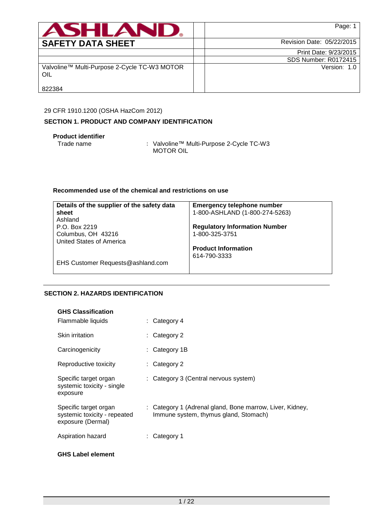| <b>ASHLAND,</b>                                     | Page: 1                   |
|-----------------------------------------------------|---------------------------|
| <b>SAFETY DATA SHEET</b>                            | Revision Date: 05/22/2015 |
|                                                     | Print Date: 9/23/2015     |
|                                                     | SDS Number: R0172415      |
| Valvoline™ Multi-Purpose 2-Cycle TC-W3 MOTOR<br>OIL | Version: 1.0              |
| 822384                                              |                           |

## 29 CFR 1910.1200 (OSHA HazCom 2012)

# **SECTION 1. PRODUCT AND COMPANY IDENTIFICATION**

## **Product identifier**

Trade name : Valvoline™ Multi-Purpose 2-Cycle TC-W3 MOTOR OIL

# **Recommended use of the chemical and restrictions on use**

| Details of the supplier of the safety data | <b>Emergency telephone number</b>    |
|--------------------------------------------|--------------------------------------|
| sheet                                      | 1-800-ASHLAND (1-800-274-5263)       |
| Ashland                                    |                                      |
| P.O. Box 2219                              | <b>Regulatory Information Number</b> |
| Columbus, OH 43216                         | 1-800-325-3751                       |
| United States of America                   |                                      |
|                                            | <b>Product Information</b>           |
|                                            | 614-790-3333                         |
| EHS Customer Requests@ashland.com          |                                      |

# **SECTION 2. HAZARDS IDENTIFICATION**

# **GHS Classification**

| Flammable liquids                                                          | $\therefore$ Category 4                                                                           |
|----------------------------------------------------------------------------|---------------------------------------------------------------------------------------------------|
| Skin irritation                                                            | $\therefore$ Category 2                                                                           |
| Carcinogenicity                                                            | $:$ Category 1B                                                                                   |
| Reproductive toxicity                                                      | $\therefore$ Category 2                                                                           |
| Specific target organ<br>systemic toxicity - single<br>exposure            | : Category 3 (Central nervous system)                                                             |
| Specific target organ<br>systemic toxicity - repeated<br>exposure (Dermal) | : Category 1 (Adrenal gland, Bone marrow, Liver, Kidney,<br>Immune system, thymus gland, Stomach) |
| Aspiration hazard                                                          | Category 1                                                                                        |

# **GHS Label element**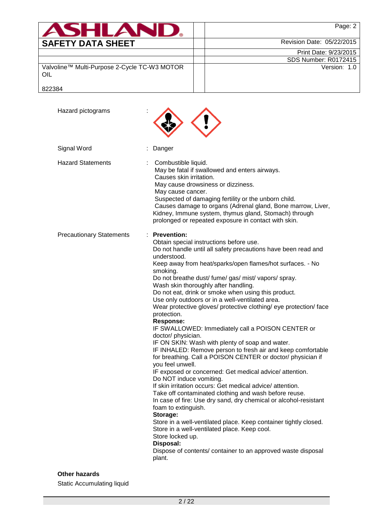| <b>ASHLAND.</b>                                     | Page: 2                     |
|-----------------------------------------------------|-----------------------------|
| <b>SAFETY DATA SHEET</b>                            | Revision Date: 05/22/2015   |
|                                                     | Print Date: 9/23/2015       |
|                                                     | <b>SDS Number: R0172415</b> |
| Valvoline™ Multi-Purpose 2-Cycle TC-W3 MOTOR<br>OIL | Version: 1.0                |
| 822384                                              |                             |

| Hazard pictograms               |                                                                                                                                                                                                                                                                                                                                                                                                                                                                                                                                                                                                                                                                                                                                                                                                                                                                                                                                                                                                                                                                                                                                                                                                                                                                                                                                                                          |
|---------------------------------|--------------------------------------------------------------------------------------------------------------------------------------------------------------------------------------------------------------------------------------------------------------------------------------------------------------------------------------------------------------------------------------------------------------------------------------------------------------------------------------------------------------------------------------------------------------------------------------------------------------------------------------------------------------------------------------------------------------------------------------------------------------------------------------------------------------------------------------------------------------------------------------------------------------------------------------------------------------------------------------------------------------------------------------------------------------------------------------------------------------------------------------------------------------------------------------------------------------------------------------------------------------------------------------------------------------------------------------------------------------------------|
| Signal Word                     | Danger                                                                                                                                                                                                                                                                                                                                                                                                                                                                                                                                                                                                                                                                                                                                                                                                                                                                                                                                                                                                                                                                                                                                                                                                                                                                                                                                                                   |
| <b>Hazard Statements</b>        | Combustible liquid.<br>May be fatal if swallowed and enters airways.<br>Causes skin irritation.<br>May cause drowsiness or dizziness.<br>May cause cancer.<br>Suspected of damaging fertility or the unborn child.<br>Causes damage to organs (Adrenal gland, Bone marrow, Liver,<br>Kidney, Immune system, thymus gland, Stomach) through<br>prolonged or repeated exposure in contact with skin.                                                                                                                                                                                                                                                                                                                                                                                                                                                                                                                                                                                                                                                                                                                                                                                                                                                                                                                                                                       |
| <b>Precautionary Statements</b> | <b>Prevention:</b><br>Obtain special instructions before use.<br>Do not handle until all safety precautions have been read and<br>understood.<br>Keep away from heat/sparks/open flames/hot surfaces. - No<br>smoking.<br>Do not breathe dust/ fume/ gas/ mist/ vapors/ spray.<br>Wash skin thoroughly after handling.<br>Do not eat, drink or smoke when using this product.<br>Use only outdoors or in a well-ventilated area.<br>Wear protective gloves/ protective clothing/ eye protection/ face<br>protection.<br><b>Response:</b><br>IF SWALLOWED: Immediately call a POISON CENTER or<br>doctor/ physician.<br>IF ON SKIN: Wash with plenty of soap and water.<br>IF INHALED: Remove person to fresh air and keep comfortable<br>for breathing. Call a POISON CENTER or doctor/ physician if<br>you feel unwell.<br>IF exposed or concerned: Get medical advice/ attention.<br>Do NOT induce vomiting.<br>If skin irritation occurs: Get medical advice/attention<br>Take off contaminated clothing and wash before reuse.<br>In case of fire: Use dry sand, dry chemical or alcohol-resistant<br>foam to extinguish.<br>Storage:<br>Store in a well-ventilated place. Keep container tightly closed.<br>Store in a well-ventilated place. Keep cool.<br>Store locked up.<br>Disposal:<br>Dispose of contents/ container to an approved waste disposal<br>plant. |

# **Other hazards**

Static Accumulating liquid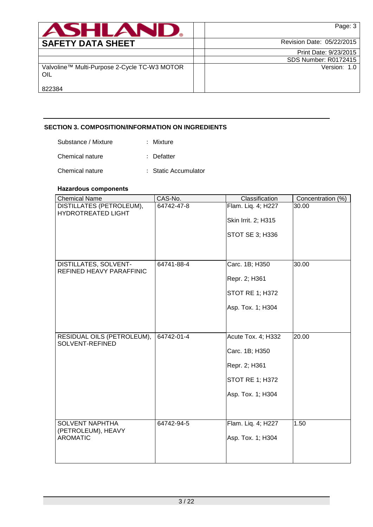| ASHLAND                                             | Page: 3                   |
|-----------------------------------------------------|---------------------------|
| <b>SAFETY DATA SHEET</b>                            | Revision Date: 05/22/2015 |
|                                                     | Print Date: 9/23/2015     |
|                                                     | SDS Number: R0172415      |
| Valvoline™ Multi-Purpose 2-Cycle TC-W3 MOTOR<br>OIL | Version: 1.0              |
| 822384                                              |                           |

# **SECTION 3. COMPOSITION/INFORMATION ON INGREDIENTS**

| Substance / Mixture | : Mixture            |
|---------------------|----------------------|
| Chemical nature     | : Defatter           |
| Chemical nature     | : Static Accumulator |

# **Hazardous components**

| <b>Chemical Name</b>                              | CAS-No.    | Classification         | Concentration (%) |
|---------------------------------------------------|------------|------------------------|-------------------|
| DISTILLATES (PETROLEUM),                          | 64742-47-8 | Flam. Liq. 4; H227     | 30.00             |
| <b>HYDROTREATED LIGHT</b>                         |            | Skin Irrit. 2; H315    |                   |
|                                                   |            |                        |                   |
|                                                   |            | STOT SE 3; H336        |                   |
|                                                   |            |                        |                   |
|                                                   |            |                        |                   |
| DISTILLATES, SOLVENT-<br>REFINED HEAVY PARAFFINIC | 64741-88-4 | Carc. 1B; H350         | 30.00             |
|                                                   |            | Repr. 2; H361          |                   |
|                                                   |            | <b>STOT RE 1; H372</b> |                   |
|                                                   |            |                        |                   |
|                                                   |            | Asp. Tox. 1; H304      |                   |
|                                                   |            |                        |                   |
| RESIDUAL OILS (PETROLEUM),                        | 64742-01-4 | Acute Tox. 4; H332     | 20.00             |
| SOLVENT-REFINED                                   |            |                        |                   |
|                                                   |            | Carc. 1B; H350         |                   |
|                                                   |            | Repr. 2; H361          |                   |
|                                                   |            | <b>STOT RE 1; H372</b> |                   |
|                                                   |            | Asp. Tox. 1; H304      |                   |
|                                                   |            |                        |                   |
|                                                   |            |                        |                   |
| <b>SOLVENT NAPHTHA</b>                            | 64742-94-5 | Flam. Liq. 4; H227     | 1.50              |
| (PETROLEUM), HEAVY                                |            |                        |                   |
| <b>AROMATIC</b>                                   |            | Asp. Tox. 1; H304      |                   |
|                                                   |            |                        |                   |
|                                                   |            |                        |                   |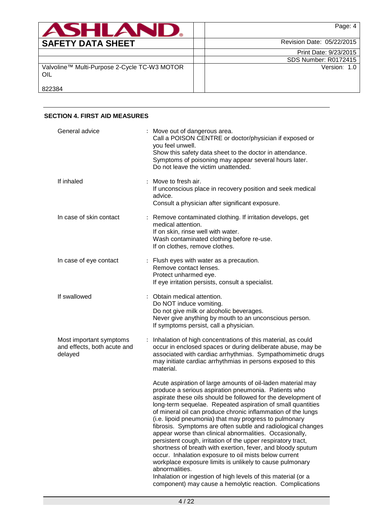| <b>ASHLANU</b>                                      | Page: 4                   |
|-----------------------------------------------------|---------------------------|
| <b>SAFETY DATA SHEET</b>                            | Revision Date: 05/22/2015 |
|                                                     | Print Date: 9/23/2015     |
|                                                     | SDS Number: R0172415      |
| Valvoline™ Multi-Purpose 2-Cycle TC-W3 MOTOR<br>OIL | Version: 1.0              |
| 822384                                              |                           |

## **SECTION 4. FIRST AID MEASURES** General advice : Move out of dangerous area. Call a POISON CENTRE or doctor/physician if exposed or you feel unwell. Show this safety data sheet to the doctor in attendance. Symptoms of poisoning may appear several hours later. Do not leave the victim unattended. If inhaled : Move to fresh air. If unconscious place in recovery position and seek medical advice. Consult a physician after significant exposure. In case of skin contact : Remove contaminated clothing. If irritation develops, get medical attention. If on skin, rinse well with water. Wash contaminated clothing before re-use. If on clothes, remove clothes. In case of eye contact : Flush eyes with water as a precaution. Remove contact lenses. Protect unharmed eye. If eye irritation persists, consult a specialist. If swallowed : Obtain medical attention. Do NOT induce vomiting. Do not give milk or alcoholic beverages. Never give anything by mouth to an unconscious person. If symptoms persist, call a physician. Most important symptoms and effects, both acute and delayed : Inhalation of high concentrations of this material, as could occur in enclosed spaces or during deliberate abuse, may be associated with cardiac arrhythmias. Sympathomimetic drugs may initiate cardiac arrhythmias in persons exposed to this material. Acute aspiration of large amounts of oil-laden material may produce a serious aspiration pneumonia. Patients who aspirate these oils should be followed for the development of long-term sequelae. Repeated aspiration of small quantities of mineral oil can produce chronic inflammation of the lungs (i.e. lipoid pneumonia) that may progress to pulmonary fibrosis. Symptoms are often subtle and radiological changes appear worse than clinical abnormalities. Occasionally, persistent cough, irritation of the upper respiratory tract, shortness of breath with exertion, fever, and bloody sputum occur. Inhalation exposure to oil mists below current workplace exposure limits is unlikely to cause pulmonary

abnormalities. Inhalation or ingestion of high levels of this material (or a component) may cause a hemolytic reaction. Complications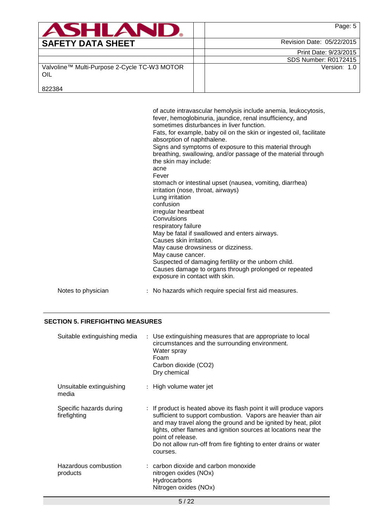| <b>ASHLAND.</b>                                     | Page: 5                   |
|-----------------------------------------------------|---------------------------|
| <b>SAFETY DATA SHEET</b>                            | Revision Date: 05/22/2015 |
|                                                     | Print Date: 9/23/2015     |
|                                                     | SDS Number: R0172415      |
| Valvoline™ Multi-Purpose 2-Cycle TC-W3 MOTOR<br>OIL | Version: 1.0              |
| 822384                                              |                           |

| Lung irritation<br>confusion<br>irregular heartbeat<br>Convulsions<br>respiratory failure<br>May cause cancer. | Signs and symptoms of exposure to this material through<br>breathing, swallowing, and/or passage of the material through<br>the skin may include:<br>stomach or intestinal upset (nausea, vomiting, diarrhea)<br>irritation (nose, throat, airways)<br>May be fatal if swallowed and enters airways.<br>Causes skin irritation.<br>May cause drowsiness or dizziness.<br>Suspected of damaging fertility or the unborn child.<br>Causes damage to organs through prolonged or repeated<br>exposure in contact with skin. |
|----------------------------------------------------------------------------------------------------------------|--------------------------------------------------------------------------------------------------------------------------------------------------------------------------------------------------------------------------------------------------------------------------------------------------------------------------------------------------------------------------------------------------------------------------------------------------------------------------------------------------------------------------|
| Notes to physician<br>: No hazards which require special first aid measures.                                   |                                                                                                                                                                                                                                                                                                                                                                                                                                                                                                                          |

## **SECTION 5. FIREFIGHTING MEASURES**

| Suitable extinguishing media            | : Use extinguishing measures that are appropriate to local<br>circumstances and the surrounding environment.<br>Water spray<br>Foam<br>Carbon dioxide (CO2)<br>Dry chemical                                                                                                                                                                                                   |
|-----------------------------------------|-------------------------------------------------------------------------------------------------------------------------------------------------------------------------------------------------------------------------------------------------------------------------------------------------------------------------------------------------------------------------------|
| Unsuitable extinguishing<br>media       | : High volume water jet                                                                                                                                                                                                                                                                                                                                                       |
| Specific hazards during<br>firefighting | : If product is heated above its flash point it will produce vapors<br>sufficient to support combustion. Vapors are heavier than air<br>and may travel along the ground and be ignited by heat, pilot<br>lights, other flames and ignition sources at locations near the<br>point of release.<br>Do not allow run-off from fire fighting to enter drains or water<br>courses. |
| Hazardous combustion<br>products        | $:$ carbon dioxide and carbon monoxide<br>nitrogen oxides (NOx)<br>Hydrocarbons<br>Nitrogen oxides (NOx)                                                                                                                                                                                                                                                                      |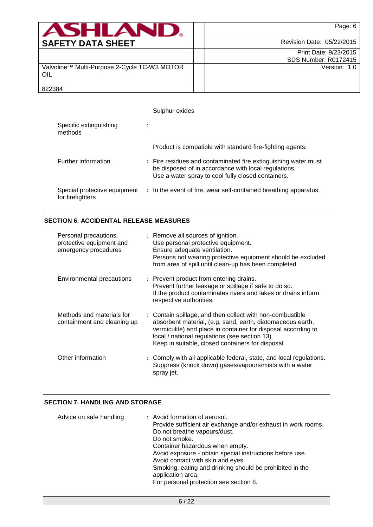| <b>ASHLAND.</b>                                     | Page: 6                     |
|-----------------------------------------------------|-----------------------------|
| <b>SAFETY DATA SHEET</b>                            | Revision Date: 05/22/2015   |
|                                                     | Print Date: 9/23/2015       |
|                                                     | <b>SDS Number: R0172415</b> |
| Valvoline™ Multi-Purpose 2-Cycle TC-W3 MOTOR<br>OIL | Version: 1.0                |
| 822384                                              |                             |

|                                                  | Sulphur oxides                                                                                                                                                               |
|--------------------------------------------------|------------------------------------------------------------------------------------------------------------------------------------------------------------------------------|
| Specific extinguishing<br>methods                |                                                                                                                                                                              |
|                                                  | Product is compatible with standard fire-fighting agents.                                                                                                                    |
| Further information                              | : Fire residues and contaminated fire extinguishing water must<br>be disposed of in accordance with local regulations.<br>Use a water spray to cool fully closed containers. |
| Special protective equipment<br>for firefighters | : In the event of fire, wear self-contained breathing apparatus.                                                                                                             |

# **SECTION 6. ACCIDENTAL RELEASE MEASURES**

| Personal precautions,<br>protective equipment and<br>emergency procedures | : Remove all sources of ignition.<br>Use personal protective equipment.<br>Ensure adequate ventilation.<br>Persons not wearing protective equipment should be excluded<br>from area of spill until clean-up has been completed.                                                                 |
|---------------------------------------------------------------------------|-------------------------------------------------------------------------------------------------------------------------------------------------------------------------------------------------------------------------------------------------------------------------------------------------|
| <b>Environmental precautions</b>                                          | : Prevent product from entering drains.<br>Prevent further leakage or spillage if safe to do so.<br>If the product contaminates rivers and lakes or drains inform<br>respective authorities.                                                                                                    |
| Methods and materials for<br>containment and cleaning up                  | : Contain spillage, and then collect with non-combustible<br>absorbent material, (e.g. sand, earth, diatomaceous earth,<br>vermiculite) and place in container for disposal according to<br>local / national regulations (see section 13).<br>Keep in suitable, closed containers for disposal. |
| Other information                                                         | : Comply with all applicable federal, state, and local regulations.<br>Suppress (knock down) gases/vapours/mists with a water<br>spray jet.                                                                                                                                                     |

# **SECTION 7. HANDLING AND STORAGE**

| Advice on safe handling | : Avoid formation of aerosol.<br>Provide sufficient air exchange and/or exhaust in work rooms.<br>Do not breathe vapours/dust.<br>Do not smoke.<br>Container hazardous when empty.<br>Avoid exposure - obtain special instructions before use.<br>Avoid contact with skin and eyes.<br>Smoking, eating and drinking should be prohibited in the<br>application area.<br>For personal protection see section 8. |
|-------------------------|----------------------------------------------------------------------------------------------------------------------------------------------------------------------------------------------------------------------------------------------------------------------------------------------------------------------------------------------------------------------------------------------------------------|
|                         |                                                                                                                                                                                                                                                                                                                                                                                                                |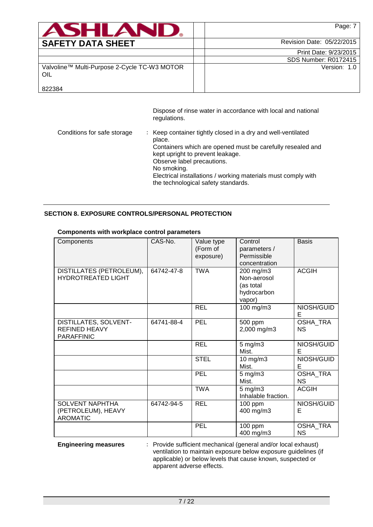| <b>ASHLAND.</b>                                     | Page: 7                     |
|-----------------------------------------------------|-----------------------------|
| <b>SAFETY DATA SHEET</b>                            | Revision Date: 05/22/2015   |
|                                                     | Print Date: 9/23/2015       |
|                                                     | <b>SDS Number: R0172415</b> |
| Valvoline™ Multi-Purpose 2-Cycle TC-W3 MOTOR<br>OIL | Version: 1.0                |
| 822384                                              |                             |

Dispose of rinse water in accordance with local and national regulations.

| Conditions for safe storage | : Keep container tightly closed in a dry and well-ventilated<br>place.<br>Containers which are opened must be carefully resealed and<br>kept upright to prevent leakage.<br>Observe label precautions.<br>No smoking.<br>Electrical installations / working materials must comply with |
|-----------------------------|----------------------------------------------------------------------------------------------------------------------------------------------------------------------------------------------------------------------------------------------------------------------------------------|
|                             | the technological safety standards.                                                                                                                                                                                                                                                    |

# **SECTION 8. EXPOSURE CONTROLS/PERSONAL PROTECTION**

| Components                                                         | CAS-No.    | Value type<br>(Form of<br>exposure) | Control<br>parameters /<br>Permissible<br>concentration        | <b>Basis</b>                 |
|--------------------------------------------------------------------|------------|-------------------------------------|----------------------------------------------------------------|------------------------------|
| DISTILLATES (PETROLEUM),<br><b>HYDROTREATED LIGHT</b>              | 64742-47-8 | <b>TWA</b>                          | 200 mg/m3<br>Non-aerosol<br>(as total<br>hydrocarbon<br>vapor) | <b>ACGIH</b>                 |
|                                                                    |            | <b>REL</b>                          | 100 mg/m3                                                      | NIOSH/GUID<br>Е              |
| DISTILLATES, SOLVENT-<br><b>REFINED HEAVY</b><br><b>PARAFFINIC</b> | 64741-88-4 | PEL                                 | 500 ppm<br>2,000 mg/m3                                         | OSHA_TRA<br><b>NS</b>        |
|                                                                    |            | <b>REL</b>                          | $5$ mg/m $3$<br>Mist.                                          | NIOSH/GUID<br>Е              |
|                                                                    |            | <b>STEL</b>                         | 10 mg/m3<br>Mist.                                              | NIOSH/GUID<br>Е              |
|                                                                    |            | PEL                                 | $5$ mg/m $3$<br>Mist.                                          | <b>OSHA TRA</b><br><b>NS</b> |
|                                                                    |            | <b>TWA</b>                          | $5 \text{ mg/m}$ 3<br>Inhalable fraction.                      | <b>ACGIH</b>                 |
| <b>SOLVENT NAPHTHA</b><br>(PETROLEUM), HEAVY<br><b>AROMATIC</b>    | 64742-94-5 | <b>REL</b>                          | $100$ ppm<br>400 mg/m3                                         | NIOSH/GUID<br>E              |
|                                                                    |            | <b>PEL</b>                          | 100 ppm<br>400 mg/m3                                           | <b>OSHA TRA</b><br>NS.       |

## **Components with workplace control parameters**

**Engineering measures** : Provide sufficient mechanical (general and/or local exhaust) ventilation to maintain exposure below exposure guidelines (if applicable) or below levels that cause known, suspected or apparent adverse effects.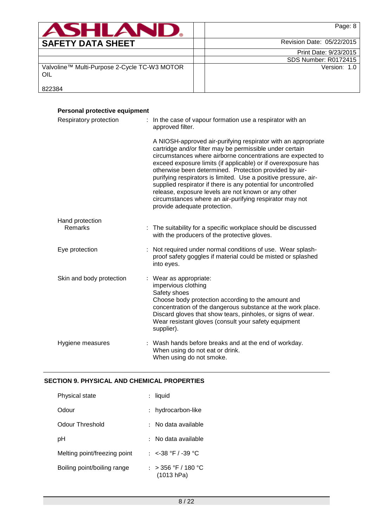| ASHLANI                                             | Page: 8                     |
|-----------------------------------------------------|-----------------------------|
| <b>SAFETY DATA SHEET</b>                            | Revision Date: 05/22/2015   |
|                                                     | Print Date: 9/23/2015       |
|                                                     | <b>SDS Number: R0172415</b> |
| Valvoline™ Multi-Purpose 2-Cycle TC-W3 MOTOR<br>OIL | Version: 1.0                |
| 822384                                              |                             |

| Personal protective equipment |                                                                                                                                                                                                                                                                                                                                                                                                                                                                                                                                                                                                            |
|-------------------------------|------------------------------------------------------------------------------------------------------------------------------------------------------------------------------------------------------------------------------------------------------------------------------------------------------------------------------------------------------------------------------------------------------------------------------------------------------------------------------------------------------------------------------------------------------------------------------------------------------------|
| Respiratory protection        | : In the case of vapour formation use a respirator with an<br>approved filter.                                                                                                                                                                                                                                                                                                                                                                                                                                                                                                                             |
|                               | A NIOSH-approved air-purifying respirator with an appropriate<br>cartridge and/or filter may be permissible under certain<br>circumstances where airborne concentrations are expected to<br>exceed exposure limits (if applicable) or if overexposure has<br>otherwise been determined. Protection provided by air-<br>purifying respirators is limited. Use a positive pressure, air-<br>supplied respirator if there is any potential for uncontrolled<br>release, exposure levels are not known or any other<br>circumstances where an air-purifying respirator may not<br>provide adequate protection. |
| Hand protection<br>Remarks    | The suitability for a specific workplace should be discussed<br>with the producers of the protective gloves.                                                                                                                                                                                                                                                                                                                                                                                                                                                                                               |
| Eye protection                | Not required under normal conditions of use. Wear splash-<br>proof safety goggles if material could be misted or splashed<br>into eyes.                                                                                                                                                                                                                                                                                                                                                                                                                                                                    |
| Skin and body protection      | : Wear as appropriate:<br>impervious clothing<br>Safety shoes<br>Choose body protection according to the amount and<br>concentration of the dangerous substance at the work place.<br>Discard gloves that show tears, pinholes, or signs of wear.<br>Wear resistant gloves (consult your safety equipment<br>supplier).                                                                                                                                                                                                                                                                                    |
| Hygiene measures              | : Wash hands before breaks and at the end of workday.<br>When using do not eat or drink.<br>When using do not smoke.                                                                                                                                                                                                                                                                                                                                                                                                                                                                                       |

# **SECTION 9. PHYSICAL AND CHEMICAL PROPERTIES**

| Physical state               | : liquid                          |
|------------------------------|-----------------------------------|
| Odour                        | : hydrocarbon-like                |
| Odour Threshold              | : No data available               |
| рH                           | : No data available               |
| Melting point/freezing point | : $<$ -38 °F / -39 °C             |
| Boiling point/boiling range  | : > 356 °F / 180 °C<br>(1013 hPa) |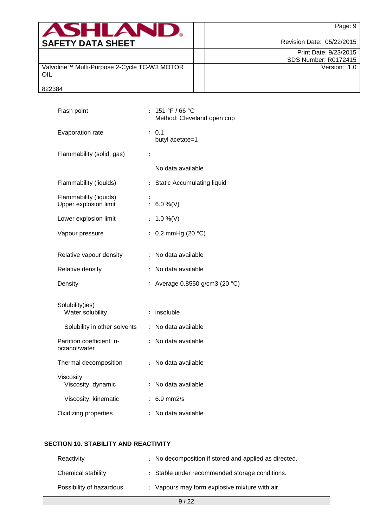| <b>ASHLAND.</b>                                     | Page: 9                     |
|-----------------------------------------------------|-----------------------------|
| <b>SAFETY DATA SHEET</b>                            | Revision Date: 05/22/2015   |
|                                                     | Print Date: 9/23/2015       |
|                                                     | <b>SDS Number: R0172415</b> |
| Valvoline™ Multi-Purpose 2-Cycle TC-W3 MOTOR<br>OIL | Version: 1.0                |
| 822384                                              |                             |

| Flash point                                     | 151 °F / 66 °C<br>Method: Cleveland open cup                   |
|-------------------------------------------------|----------------------------------------------------------------|
| Evaporation rate                                | 0.1<br>÷.<br>butyl acetate=1                                   |
| Flammability (solid, gas)                       | $\ddot{\cdot}$                                                 |
|                                                 | No data available                                              |
| Flammability (liquids)                          | <b>Static Accumulating liquid</b><br>$\mathbb{R}^{\mathbb{Z}}$ |
| Flammability (liquids)<br>Upper explosion limit | ř.<br>6.0 %(V)                                                 |
| Lower explosion limit                           | 1.0 %(V)<br>$\ddot{\cdot}$                                     |
| Vapour pressure                                 | 0.2 mmHg (20 °C)<br>$\ddot{\phantom{a}}$                       |
| Relative vapour density                         | No data available<br>$\ddot{\cdot}$                            |
| Relative density                                | No data available<br>$\ddot{\cdot}$                            |
| Density                                         | Average 0.8550 g/cm3 (20 °C)<br>$\ddot{\cdot}$                 |
| Solubility(ies)<br>Water solubility             | insoluble<br>$\ddot{\cdot}$                                    |
| Solubility in other solvents                    | No data available<br>$\ddot{\cdot}$                            |
| Partition coefficient: n-<br>octanol/water      | No data available<br>÷.                                        |
| Thermal decomposition                           | No data available<br>$\ddot{\cdot}$                            |
| Viscosity<br>Viscosity, dynamic                 | No data available<br>$\ddot{\cdot}$                            |
| Viscosity, kinematic                            | $6.9$ mm $2/s$<br>$\ddot{\cdot}$                               |
| Oxidizing properties                            | No data available                                              |

# **SECTION 10. STABILITY AND REACTIVITY**

| Reactivity               | : No decomposition if stored and applied as directed. |
|--------------------------|-------------------------------------------------------|
| Chemical stability       | : Stable under recommended storage conditions.        |
| Possibility of hazardous | : Vapours may form explosive mixture with air.        |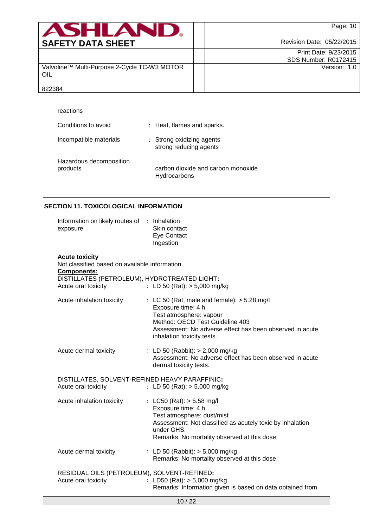| <b>ASHLAND.</b>                                     | Page: 10                  |
|-----------------------------------------------------|---------------------------|
| <b>SAFETY DATA SHEET</b>                            | Revision Date: 05/22/2015 |
|                                                     | Print Date: 9/23/2015     |
|                                                     | SDS Number: R0172415      |
| Valvoline™ Multi-Purpose 2-Cycle TC-W3 MOTOR<br>OIL | Version: 1.0              |
| 822384                                              |                           |

| reactions                           |                                                     |  |
|-------------------------------------|-----------------------------------------------------|--|
| Conditions to avoid                 | : Heat, flames and sparks.                          |  |
| Incompatible materials              | : Strong oxidizing agents<br>strong reducing agents |  |
| Hazardous decomposition<br>products | carbon dioxide and carbon monoxide<br>Hydrocarbons  |  |

## **SECTION 11. TOXICOLOGICAL INFORMATION**

| Information on likely routes of : Inhalation<br>exposure                                                                                                             | Skin contact<br>Eye Contact<br>Ingestion                                                                                                                                                                                    |
|----------------------------------------------------------------------------------------------------------------------------------------------------------------------|-----------------------------------------------------------------------------------------------------------------------------------------------------------------------------------------------------------------------------|
| <b>Acute toxicity</b><br>Not classified based on available information.<br><b>Components:</b><br>DISTILLATES (PETROLEUM), HYDROTREATED LIGHT:<br>Acute oral toxicity | : LD 50 (Rat): $> 5,000$ mg/kg                                                                                                                                                                                              |
| Acute inhalation toxicity                                                                                                                                            | : LC 50 (Rat, male and female): $>$ 5.28 mg/l<br>Exposure time: 4 h<br>Test atmosphere: vapour<br>Method: OECD Test Guideline 403<br>Assessment: No adverse effect has been observed in acute<br>inhalation toxicity tests. |
| Acute dermal toxicity                                                                                                                                                | : LD 50 (Rabbit): $> 2,000$ mg/kg<br>Assessment: No adverse effect has been observed in acute<br>dermal toxicity tests.                                                                                                     |
| DISTILLATES, SOLVENT-REFINED HEAVY PARAFFINIC:<br>Acute oral toxicity                                                                                                | : LD 50 (Rat): $> 5,000$ mg/kg                                                                                                                                                                                              |
| Acute inhalation toxicity                                                                                                                                            | : LC50 (Rat): $> 5.58$ mg/l<br>Exposure time: 4 h<br>Test atmosphere: dust/mist<br>Assessment: Not classified as acutely toxic by inhalation<br>under GHS.<br>Remarks: No mortality observed at this dose.                  |
| Acute dermal toxicity                                                                                                                                                | : LD 50 (Rabbit): $> 5,000$ mg/kg<br>Remarks: No mortality observed at this dose.                                                                                                                                           |
| RESIDUAL OILS (PETROLEUM), SOLVENT-REFINED:<br>Acute oral toxicity                                                                                                   | : LD50 (Rat): $> 5,000$ mg/kg<br>Remarks: Information given is based on data obtained from                                                                                                                                  |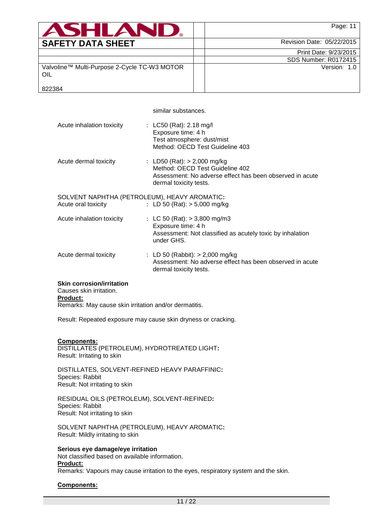| <b>ASHLAND.</b>                                     | Page: 11                    |
|-----------------------------------------------------|-----------------------------|
| <b>SAFETY DATA SHEET</b>                            | Revision Date: 05/22/2015   |
|                                                     | Print Date: 9/23/2015       |
|                                                     | <b>SDS Number: R0172415</b> |
| Valvoline™ Multi-Purpose 2-Cycle TC-W3 MOTOR<br>OIL | Version: 1.0                |
| 822384                                              |                             |

similar substances.

| Acute inhalation toxicity                                           | : LC50 (Rat): 2.18 mg/l<br>Exposure time: 4 h<br>Test atmosphere: dust/mist<br>Method: OECD Test Guideline 403                                         |
|---------------------------------------------------------------------|--------------------------------------------------------------------------------------------------------------------------------------------------------|
| Acute dermal toxicity                                               | : LD50 (Rat): $>$ 2,000 mg/kg<br>Method: OECD Test Guideline 402<br>Assessment: No adverse effect has been observed in acute<br>dermal toxicity tests. |
| SOLVENT NAPHTHA (PETROLEUM), HEAVY AROMATIC:<br>Acute oral toxicity | : LD 50 (Rat): $> 5,000$ mg/kg                                                                                                                         |
| Acute inhalation toxicity                                           | : LC 50 (Rat): $> 3,800$ mg/m3<br>Exposure time: 4 h<br>Assessment: Not classified as acutely toxic by inhalation<br>under GHS.                        |
| Acute dermal toxicity                                               | : LD 50 (Rabbit): $>$ 2,000 mg/kg<br>Assessment: No adverse effect has been observed in acute<br>dermal toxicity tests.                                |

#### **Skin corrosion/irritation**

Causes skin irritation.

# **Product:**

Remarks: May cause skin irritation and/or dermatitis.

Result: Repeated exposure may cause skin dryness or cracking.

#### **Components:**

DISTILLATES (PETROLEUM), HYDROTREATED LIGHT**:** Result: Irritating to skin

DISTILLATES, SOLVENT-REFINED HEAVY PARAFFINIC**:** Species: Rabbit Result: Not irritating to skin

RESIDUAL OILS (PETROLEUM), SOLVENT-REFINED**:** Species: Rabbit Result: Not irritating to skin

SOLVENT NAPHTHA (PETROLEUM), HEAVY AROMATIC**:** Result: Mildly irritating to skin

### **Serious eye damage/eye irritation**

Not classified based on available information.

# **Product:**

Remarks: Vapours may cause irritation to the eyes, respiratory system and the skin.

### **Components:**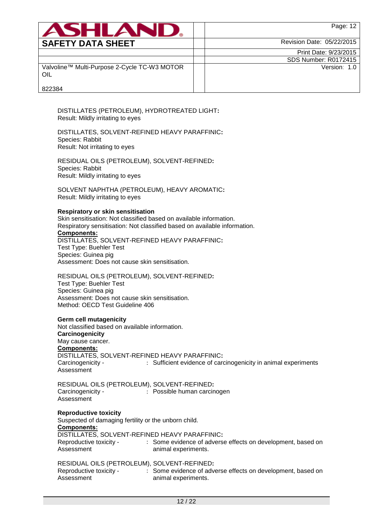| <b>ASHLAND</b>                                      | Page: 12                  |
|-----------------------------------------------------|---------------------------|
| <b>SAFETY DATA SHEET</b>                            | Revision Date: 05/22/2015 |
|                                                     | Print Date: 9/23/2015     |
|                                                     | SDS Number: R0172415      |
| Valvoline™ Multi-Purpose 2-Cycle TC-W3 MOTOR<br>OIL | Version: 1.0              |
| 822384                                              |                           |

DISTILLATES (PETROLEUM), HYDROTREATED LIGHT**:** Result: Mildly irritating to eyes

DISTILLATES, SOLVENT-REFINED HEAVY PARAFFINIC**:** Species: Rabbit Result: Not irritating to eyes

RESIDUAL OILS (PETROLEUM), SOLVENT-REFINED**:** Species: Rabbit Result: Mildly irritating to eyes

SOLVENT NAPHTHA (PETROLEUM), HEAVY AROMATIC**:** Result: Mildly irritating to eyes

#### **Respiratory or skin sensitisation**

Skin sensitisation: Not classified based on available information. Respiratory sensitisation: Not classified based on available information. **Components:** DISTILLATES, SOLVENT-REFINED HEAVY PARAFFINIC**:** Test Type: Buehler Test Species: Guinea pig Assessment: Does not cause skin sensitisation.

RESIDUAL OILS (PETROLEUM), SOLVENT-REFINED**:** Test Type: Buehler Test Species: Guinea pig Assessment: Does not cause skin sensitisation. Method: OECD Test Guideline 406

#### **Germ cell mutagenicity**

Not classified based on available information. **Carcinogenicity** May cause cancer. **Components:** DISTILLATES, SOLVENT-REFINED HEAVY PARAFFINIC**:** Carcinogenicity - Assessment : Sufficient evidence of carcinogenicity in animal experiments

RESIDUAL OILS (PETROLEUM), SOLVENT-REFINED**:** Carcinogenicity - Assessment : Possible human carcinogen

### **Reproductive toxicity**

Suspected of damaging fertility or the unborn child.

**Components:**

DISTILLATES, SOLVENT-REFINED HEAVY PARAFFINIC**:**

| Reproductive toxicity - | : Some evidence of adverse effects on development, based on |
|-------------------------|-------------------------------------------------------------|
| Assessment              | animal experiments.                                         |

### RESIDUAL OILS (PETROLEUM), SOLVENT-REFINED**:**

| Reproductive toxicity - | : Some evidence of adverse effects on development, based on |
|-------------------------|-------------------------------------------------------------|
| Assessment              | animal experiments.                                         |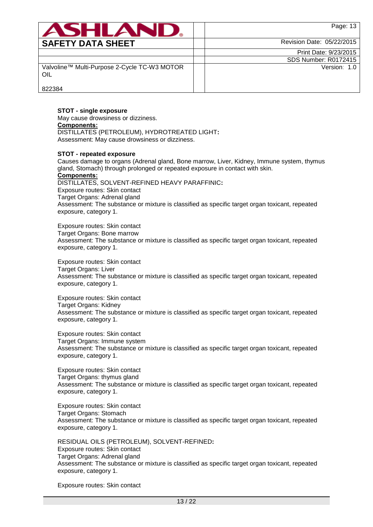| <b>ASHLAND.</b>                                     | Page: 13                    |
|-----------------------------------------------------|-----------------------------|
| <b>SAFETY DATA SHEET</b>                            | Revision Date: 05/22/2015   |
|                                                     | Print Date: 9/23/2015       |
|                                                     | <b>SDS Number: R0172415</b> |
| Valvoline™ Multi-Purpose 2-Cycle TC-W3 MOTOR<br>OIL | Version: 1.0                |
| 822384                                              |                             |

## **STOT - single exposure**

May cause drowsiness or dizziness. **Components:** DISTILLATES (PETROLEUM), HYDROTREATED LIGHT**:** Assessment: May cause drowsiness or dizziness.

#### **STOT - repeated exposure**

Causes damage to organs (Adrenal gland, Bone marrow, Liver, Kidney, Immune system, thymus gland, Stomach) through prolonged or repeated exposure in contact with skin. **Components:** DISTILLATES, SOLVENT-REFINED HEAVY PARAFFINIC**:** Exposure routes: Skin contact Target Organs: Adrenal gland Assessment: The substance or mixture is classified as specific target organ toxicant, repeated exposure, category 1.

Exposure routes: Skin contact Target Organs: Bone marrow Assessment: The substance or mixture is classified as specific target organ toxicant, repeated exposure, category 1.

Exposure routes: Skin contact Target Organs: Liver Assessment: The substance or mixture is classified as specific target organ toxicant, repeated exposure, category 1.

Exposure routes: Skin contact Target Organs: Kidney Assessment: The substance or mixture is classified as specific target organ toxicant, repeated exposure, category 1.

Exposure routes: Skin contact Target Organs: Immune system Assessment: The substance or mixture is classified as specific target organ toxicant, repeated exposure, category 1.

Exposure routes: Skin contact Target Organs: thymus gland Assessment: The substance or mixture is classified as specific target organ toxicant, repeated exposure, category 1.

Exposure routes: Skin contact Target Organs: Stomach Assessment: The substance or mixture is classified as specific target organ toxicant, repeated exposure, category 1.

RESIDUAL OILS (PETROLEUM), SOLVENT-REFINED**:** Exposure routes: Skin contact Target Organs: Adrenal gland Assessment: The substance or mixture is classified as specific target organ toxicant, repeated exposure, category 1.

Exposure routes: Skin contact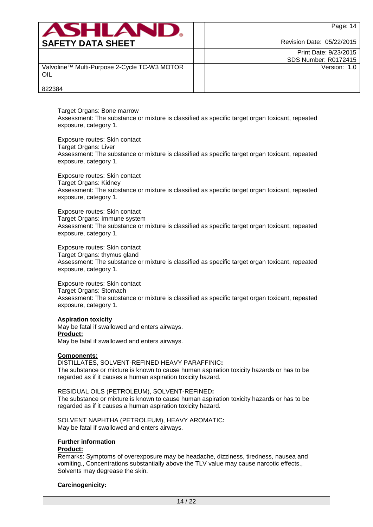| <b>ASHLAND.</b>                                     | Page: 14                    |
|-----------------------------------------------------|-----------------------------|
| <b>SAFETY DATA SHEET</b>                            | Revision Date: 05/22/2015   |
|                                                     | Print Date: 9/23/2015       |
|                                                     | <b>SDS Number: R0172415</b> |
| Valvoline™ Multi-Purpose 2-Cycle TC-W3 MOTOR<br>OIL | Version: 1.0                |
| 822384                                              |                             |

Target Organs: Bone marrow Assessment: The substance or mixture is classified as specific target organ toxicant, repeated exposure, category 1.

Exposure routes: Skin contact Target Organs: Liver Assessment: The substance or mixture is classified as specific target organ toxicant, repeated exposure, category 1.

Exposure routes: Skin contact Target Organs: Kidney Assessment: The substance or mixture is classified as specific target organ toxicant, repeated exposure, category 1.

Exposure routes: Skin contact Target Organs: Immune system Assessment: The substance or mixture is classified as specific target organ toxicant, repeated exposure, category 1.

Exposure routes: Skin contact Target Organs: thymus gland Assessment: The substance or mixture is classified as specific target organ toxicant, repeated exposure, category 1.

Exposure routes: Skin contact Target Organs: Stomach Assessment: The substance or mixture is classified as specific target organ toxicant, repeated exposure, category 1.

#### **Aspiration toxicity**

May be fatal if swallowed and enters airways. **Product:** May be fatal if swallowed and enters airways.

### **Components:**

DISTILLATES, SOLVENT-REFINED HEAVY PARAFFINIC**:** The substance or mixture is known to cause human aspiration toxicity hazards or has to be regarded as if it causes a human aspiration toxicity hazard.

RESIDUAL OILS (PETROLEUM), SOLVENT-REFINED**:** The substance or mixture is known to cause human aspiration toxicity hazards or has to be regarded as if it causes a human aspiration toxicity hazard.

SOLVENT NAPHTHA (PETROLEUM), HEAVY AROMATIC**:** May be fatal if swallowed and enters airways.

## **Further information**

### **Product:**

Remarks: Symptoms of overexposure may be headache, dizziness, tiredness, nausea and vomiting., Concentrations substantially above the TLV value may cause narcotic effects., Solvents may degrease the skin.

### **Carcinogenicity:**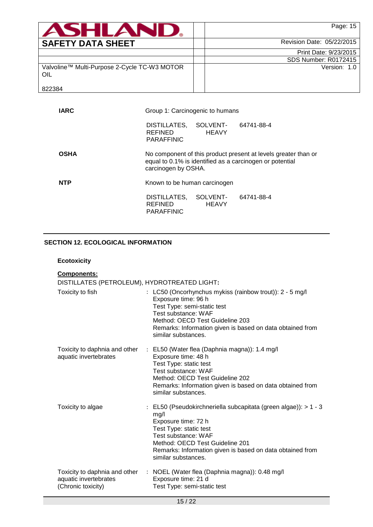| <b>ASHLAND.</b>                                     | Page: 15                  |
|-----------------------------------------------------|---------------------------|
| <b>SAFETY DATA SHEET</b>                            | Revision Date: 05/22/2015 |
|                                                     | Print Date: 9/23/2015     |
|                                                     | SDS Number: R0172415      |
| Valvoline™ Multi-Purpose 2-Cycle TC-W3 MOTOR<br>OIL | Version: 1.0              |
| 822384                                              |                           |

| <b>IARC</b> | Group 1: Carcinogenic to humans                     |                          |                                                                                                                            |
|-------------|-----------------------------------------------------|--------------------------|----------------------------------------------------------------------------------------------------------------------------|
|             | DISTILLATES,<br><b>REFINED</b><br><b>PARAFFINIC</b> | SOLVENT-<br><b>HEAVY</b> | 64741-88-4                                                                                                                 |
| <b>OSHA</b> | carcinogen by OSHA.                                 |                          | No component of this product present at levels greater than or<br>equal to 0.1% is identified as a carcinogen or potential |
| <b>NTP</b>  | Known to be human carcinogen                        |                          |                                                                                                                            |
|             | DISTILLATES,<br><b>REFINED</b><br><b>PARAFFINIC</b> | SOLVENT-<br><b>HEAVY</b> | 64741-88-4                                                                                                                 |

# **SECTION 12. ECOLOGICAL INFORMATION**

# **Ecotoxicity**

| Components:                                                                  |                                                                                                                                                                                                                                                                        |
|------------------------------------------------------------------------------|------------------------------------------------------------------------------------------------------------------------------------------------------------------------------------------------------------------------------------------------------------------------|
| DISTILLATES (PETROLEUM), HYDROTREATED LIGHT:                                 |                                                                                                                                                                                                                                                                        |
| Toxicity to fish                                                             | : LC50 (Oncorhynchus mykiss (rainbow trout)): 2 - 5 mg/l<br>Exposure time: 96 h<br>Test Type: semi-static test<br>Test substance: WAF<br>Method: OECD Test Guideline 203<br>Remarks: Information given is based on data obtained from<br>similar substances.           |
| Toxicity to daphnia and other<br>aquatic invertebrates                       | : EL50 (Water flea (Daphnia magna)): 1.4 mg/l<br>Exposure time: 48 h<br>Test Type: static test<br>Test substance: WAF<br>Method: OECD Test Guideline 202<br>Remarks: Information given is based on data obtained from<br>similar substances.                           |
| Toxicity to algae                                                            | : EL50 (Pseudokirchneriella subcapitata (green algae)): > 1 - 3<br>mg/l<br>Exposure time: 72 h<br>Test Type: static test<br>Test substance: WAF<br>Method: OECD Test Guideline 201<br>Remarks: Information given is based on data obtained from<br>similar substances. |
| Toxicity to daphnia and other<br>aquatic invertebrates<br>(Chronic toxicity) | : NOEL (Water flea (Daphnia magna)): 0.48 mg/l<br>Exposure time: 21 d<br>Test Type: semi-static test                                                                                                                                                                   |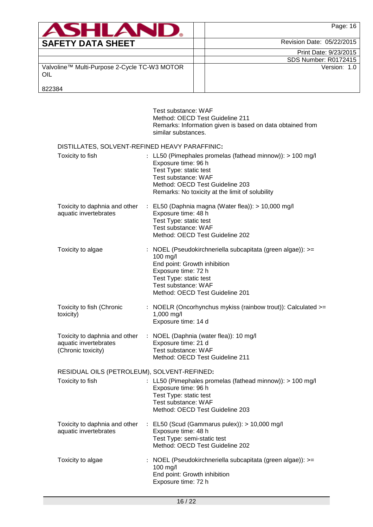| <b>ASHLAN</b>                                       | Page: 16                    |
|-----------------------------------------------------|-----------------------------|
| <b>SAFETY DATA SHEET</b>                            | Revision Date: 05/22/2015   |
|                                                     | Print Date: 9/23/2015       |
|                                                     | <b>SDS Number: R0172415</b> |
| Valvoline™ Multi-Purpose 2-Cycle TC-W3 MOTOR<br>OIL | Version: 1.0                |
| 822384                                              |                             |

|                                                                                     | Test substance: WAF<br>Method: OECD Test Guideline 211<br>Remarks: Information given is based on data obtained from<br>similar substances.                                                                                |
|-------------------------------------------------------------------------------------|---------------------------------------------------------------------------------------------------------------------------------------------------------------------------------------------------------------------------|
| DISTILLATES, SOLVENT-REFINED HEAVY PARAFFINIC:                                      |                                                                                                                                                                                                                           |
| Toxicity to fish                                                                    | : LL50 (Pimephales promelas (fathead minnow)): $> 100$ mg/l<br>Exposure time: 96 h<br>Test Type: static test<br>Test substance: WAF<br>Method: OECD Test Guideline 203<br>Remarks: No toxicity at the limit of solubility |
| Toxicity to daphnia and other<br>aquatic invertebrates                              | : EL50 (Daphnia magna (Water flea)): $> 10,000$ mg/l<br>Exposure time: 48 h<br>Test Type: static test<br>Test substance: WAF<br>Method: OECD Test Guideline 202                                                           |
| Toxicity to algae                                                                   | : NOEL (Pseudokirchneriella subcapitata (green algae)): >=<br>$100$ mg/l<br>End point: Growth inhibition<br>Exposure time: 72 h<br>Test Type: static test<br>Test substance: WAF<br>Method: OECD Test Guideline 201       |
| Toxicity to fish (Chronic<br>toxicity)                                              | : NOELR (Oncorhynchus mykiss (rainbow trout)): Calculated $>=$<br>1,000 mg/l<br>Exposure time: 14 d                                                                                                                       |
| Toxicity to daphnia and other<br>aquatic invertebrates<br>(Chronic toxicity)        | : NOEL (Daphnia (water flea)): 10 mg/l<br>Exposure time: 21 d<br>Test substance: WAF<br>Method: OECD Test Guideline 211                                                                                                   |
| RESIDUAL OILS (PETROLEUM), SOLVENT-REFINED:<br>Toxicity to fish                     | : LL50 (Pimephales promelas (fathead minnow)): > 100 mg/l<br>Exposure time: 96 h<br>Test Type: static test<br>Test substance: WAF<br>Method: OECD Test Guideline 203                                                      |
| Toxicity to daphnia and other<br>$\mathbb{Z}^{\mathbb{Z}}$<br>aquatic invertebrates | EL50 (Scud (Gammarus pulex)): > 10,000 mg/l<br>Exposure time: 48 h<br>Test Type: semi-static test<br>Method: OECD Test Guideline 202                                                                                      |
| Toxicity to algae                                                                   | NOEL (Pseudokirchneriella subcapitata (green algae)): >=<br>100 mg/l<br>End point: Growth inhibition<br>Exposure time: 72 h                                                                                               |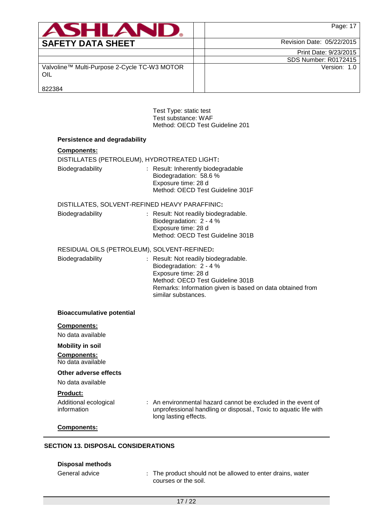| <b>ASHLAND.</b>                                     | Page: 17                    |
|-----------------------------------------------------|-----------------------------|
| <b>SAFETY DATA SHEET</b>                            | Revision Date: 05/22/2015   |
|                                                     | Print Date: 9/23/2015       |
|                                                     | <b>SDS Number: R0172415</b> |
| Valvoline™ Multi-Purpose 2-Cycle TC-W3 MOTOR<br>OIL | Version: 1.0                |
| 822384                                              |                             |

Test Type: static test Test substance: WAF Method: OECD Test Guideline 201 ı

| <b>Components:</b>                      |                                                                                                                                                                                                                |
|-----------------------------------------|----------------------------------------------------------------------------------------------------------------------------------------------------------------------------------------------------------------|
|                                         | DISTILLATES (PETROLEUM), HYDROTREATED LIGHT:                                                                                                                                                                   |
| Biodegradability                        | : Result: Inherently biodegradable<br>Biodegradation: 58.6 %<br>Exposure time: 28 d<br>Method: OECD Test Guideline 301F                                                                                        |
|                                         | DISTILLATES, SOLVENT-REFINED HEAVY PARAFFINIC:                                                                                                                                                                 |
| Biodegradability                        | : Result: Not readily biodegradable.<br>Biodegradation: 2 - 4 %<br>Exposure time: 28 d<br>Method: OECD Test Guideline 301B                                                                                     |
|                                         | RESIDUAL OILS (PETROLEUM), SOLVENT-REFINED:                                                                                                                                                                    |
| Biodegradability                        | : Result: Not readily biodegradable.<br>Biodegradation: 2 - 4 %<br>Exposure time: 28 d<br>Method: OECD Test Guideline 301B<br>Remarks: Information given is based on data obtained from<br>similar substances. |
| <b>Bioaccumulative potential</b>        |                                                                                                                                                                                                                |
| <b>Components:</b><br>No data available |                                                                                                                                                                                                                |
| <b>Mobility in soil</b>                 |                                                                                                                                                                                                                |
| <b>Components:</b><br>No data available |                                                                                                                                                                                                                |
| Other adverse effects                   |                                                                                                                                                                                                                |
| No data available                       |                                                                                                                                                                                                                |
| Product:                                |                                                                                                                                                                                                                |
| Additional ecological<br>information    | : An environmental hazard cannot be excluded in the event of<br>unprofessional handling or disposal., Toxic to aquatic life with<br>long lasting effects.                                                      |
| Components:                             |                                                                                                                                                                                                                |

# **Disposal methods**

General advice : The product should not be allowed to enter drains, water courses or the soil.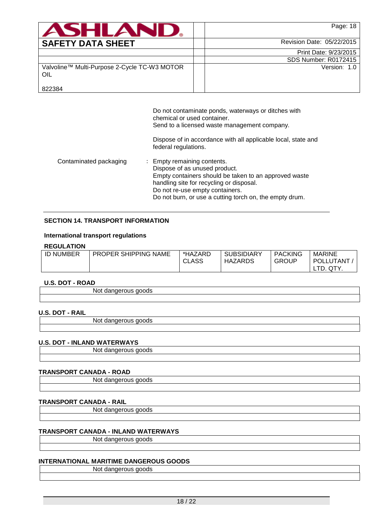| <b>ASHLAND.</b>                                     | Page: 18                    |
|-----------------------------------------------------|-----------------------------|
| <b>SAFETY DATA SHEET</b>                            | Revision Date: 05/22/2015   |
|                                                     | Print Date: 9/23/2015       |
|                                                     | <b>SDS Number: R0172415</b> |
| Valvoline™ Multi-Purpose 2-Cycle TC-W3 MOTOR<br>OIL | Version: 1.0                |
| 822384                                              |                             |

Do not contaminate ponds, waterways or ditches with chemical or used container. Send to a licensed waste management company.

Dispose of in accordance with all applicable local, state and federal regulations.

Contaminated packaging : Empty remaining contents. Dispose of as unused product. Empty containers should be taken to an approved waste handling site for recycling or disposal. Do not re-use empty containers. Do not burn, or use a cutting torch on, the empty drum.

### **SECTION 14. TRANSPORT INFORMATION**

#### **International transport regulations**

#### **REGULATION**

| .                |                             |              |                   |                |                  |
|------------------|-----------------------------|--------------|-------------------|----------------|------------------|
| <b>ID NUMBER</b> | <b>PROPER SHIPPING NAME</b> | *HAZARD      | <b>SUBSIDIARY</b> | <b>PACKING</b> | <b>MARINE</b>    |
|                  |                             | <b>CLASS</b> | <b>HAZARDS</b>    | <b>GROUP</b>   | <b>POLLUTANT</b> |
|                  |                             |              |                   |                | QTY.<br>TD.      |

#### **U.S. DOT - ROAD**

Not dangerous goods

### **U.S. DOT - RAIL**

Not dangerous goods

#### **U.S. DOT - INLAND WATERWAYS**

Not dangerous goods

### **TRANSPORT CANADA - ROAD**

Not dangerous goods

#### **TRANSPORT CANADA - RAIL**

Not dangerous goods

## **TRANSPORT CANADA - INLAND WATERWAYS**

Not dangerous goods

### **INTERNATIONAL MARITIME DANGEROUS GOODS**

Not dangerous goods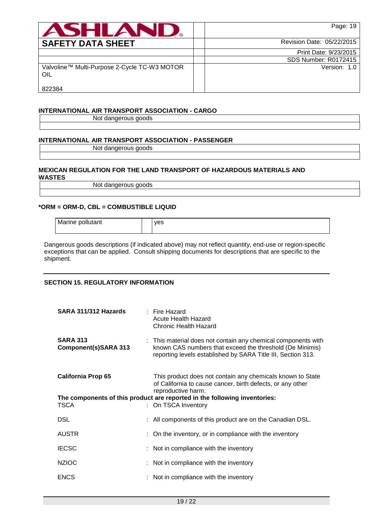| <b>ASHLAND.</b>                                     | Page: 19                    |
|-----------------------------------------------------|-----------------------------|
| <b>SAFETY DATA SHEET</b>                            | Revision Date: 05/22/2015   |
|                                                     | Print Date: 9/23/2015       |
|                                                     | <b>SDS Number: R0172415</b> |
| Valvoline™ Multi-Purpose 2-Cycle TC-W3 MOTOR<br>OIL | Version: 1.0                |
| 822384                                              |                             |

# **INTERNATIONAL AIR TRANSPORT ASSOCIATION - CARGO**

Not dangerous goods

# **INTERNATIONAL AIR TRANSPORT ASSOCIATION - PASSENGER**

Not dangerous goods

#### **MEXICAN REGULATION FOR THE LAND TRANSPORT OF HAZARDOUS MATERIALS AND WASTES**

Not dangerous goods

## **\*ORM = ORM-D, CBL = COMBUSTIBLE LIQUID**

Marine pollutant and pollutant

Dangerous goods descriptions (if indicated above) may not reflect quantity, end-use or region-specific exceptions that can be applied. Consult shipping documents for descriptions that are specific to the shipment.

# **SECTION 15. REGULATORY INFORMATION**

| SARA 311/312 Hazards                    | $\therefore$ Fire Hazard<br>Acute Health Hazard<br>Chronic Health Hazard                                                                                                                  |
|-----------------------------------------|-------------------------------------------------------------------------------------------------------------------------------------------------------------------------------------------|
| <b>SARA 313</b><br>Component(s)SARA 313 | : This material does not contain any chemical components with<br>known CAS numbers that exceed the threshold (De Minimis)<br>reporting levels established by SARA Title III, Section 313. |
| <b>California Prop 65</b>               | This product does not contain any chemicals known to State<br>of California to cause cancer, birth defects, or any other<br>reproductive harm.                                            |
| TSCA                                    | The components of this product are reported in the following inventories:<br>: On TSCA Inventory                                                                                          |
| <b>DSL</b>                              | : All components of this product are on the Canadian DSL.                                                                                                                                 |
| <b>AUSTR</b>                            | : On the inventory, or in compliance with the inventory                                                                                                                                   |
| <b>IECSC</b>                            | : Not in compliance with the inventory                                                                                                                                                    |
| <b>NZIOC</b>                            | : Not in compliance with the inventory                                                                                                                                                    |
| <b>ENCS</b>                             | : Not in compliance with the inventory                                                                                                                                                    |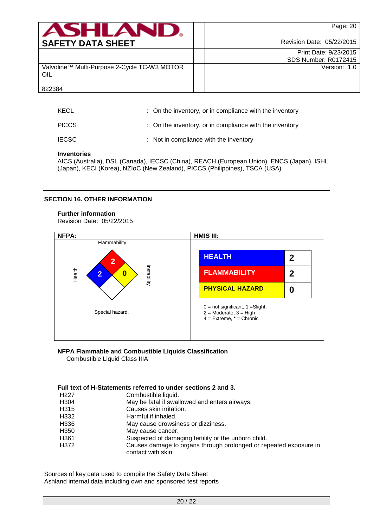| <b>ASHLAND.</b>                                     | Page: 20                  |
|-----------------------------------------------------|---------------------------|
| <b>SAFETY DATA SHEET</b>                            | Revision Date: 05/22/2015 |
|                                                     | Print Date: 9/23/2015     |
|                                                     | SDS Number: R0172415      |
| Valvoline™ Multi-Purpose 2-Cycle TC-W3 MOTOR<br>OIL | Version: 1.0              |
| 822384                                              |                           |

| KECL         | : On the inventory, or in compliance with the inventory |
|--------------|---------------------------------------------------------|
| <b>PICCS</b> | : On the inventory, or in compliance with the inventory |
| <b>IECSC</b> | : Not in compliance with the inventory                  |

### **Inventories**

AICS (Australia), DSL (Canada), IECSC (China), REACH (European Union), ENCS (Japan), ISHL (Japan), KECI (Korea), NZIoC (New Zealand), PICCS (Philippines), TSCA (USA)

### **SECTION 16. OTHER INFORMATION**

### **Further information**

Revision Date: 05/22/2015



#### **NFPA Flammable and Combustible Liquids Classification** Combustible Liquid Class IIIA

# **Full text of H-Statements referred to under sections 2 and 3.**

|                   | עוו נטאג טו וו טנענטווט וטוטווט וטנטוועט נט עוועטו טטטווט ב טווע ט.                     |
|-------------------|-----------------------------------------------------------------------------------------|
| H <sub>22</sub> 7 | Combustible liquid.                                                                     |
| H304              | May be fatal if swallowed and enters airways.                                           |
| H315              | Causes skin irritation.                                                                 |
| H332              | Harmful if inhaled.                                                                     |
| H336              | May cause drowsiness or dizziness.                                                      |
| H350              | May cause cancer.                                                                       |
| H361              | Suspected of damaging fertility or the unborn child.                                    |
| H372              | Causes damage to organs through prolonged or repeated exposure in<br>contact with skin. |

Sources of key data used to compile the Safety Data Sheet Ashland internal data including own and sponsored test reports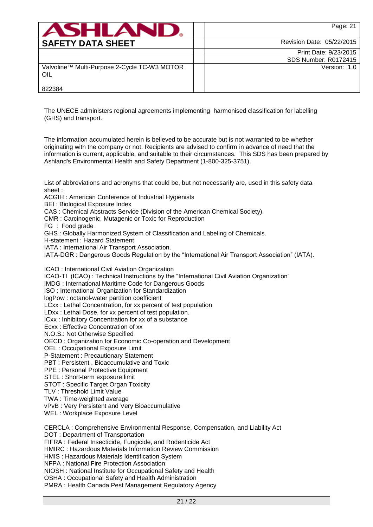| <b>ASHLAND.</b>                                     | Page: 21                  |
|-----------------------------------------------------|---------------------------|
| <b>SAFETY DATA SHEET</b>                            | Revision Date: 05/22/2015 |
|                                                     | Print Date: 9/23/2015     |
|                                                     | SDS Number: R0172415      |
| Valvoline™ Multi-Purpose 2-Cycle TC-W3 MOTOR<br>OIL | Version: 1.0              |
| 822384                                              |                           |

The UNECE administers regional agreements implementing harmonised classification for labelling (GHS) and transport.

The information accumulated herein is believed to be accurate but is not warranted to be whether originating with the company or not. Recipients are advised to confirm in advance of need that the information is current, applicable, and suitable to their circumstances. This SDS has been prepared by Ashland's Environmental Health and Safety Department (1-800-325-3751).

List of abbreviations and acronyms that could be, but not necessarily are, used in this safety data sheet :

ACGIH : American Conference of Industrial Hygienists

BEI : Biological Exposure Index

CAS : Chemical Abstracts Service (Division of the American Chemical Society).

CMR : Carcinogenic, Mutagenic or Toxic for Reproduction

FG : Food grade

GHS : Globally Harmonized System of Classification and Labeling of Chemicals.

H-statement : Hazard Statement

IATA : International Air Transport Association.

IATA-DGR : Dangerous Goods Regulation by the "International Air Transport Association" (IATA).

ICAO : International Civil Aviation Organization

ICAO-TI (ICAO) : Technical Instructions by the "International Civil Aviation Organization"

IMDG : International Maritime Code for Dangerous Goods

ISO : International Organization for Standardization

logPow : octanol-water partition coefficient

LCxx : Lethal Concentration, for xx percent of test population

LDxx : Lethal Dose, for xx percent of test population.

ICxx : Inhibitory Concentration for xx of a substance

Ecxx : Effective Concentration of xx

N.O.S.: Not Otherwise Specified

OECD : Organization for Economic Co-operation and Development

OEL : Occupational Exposure Limit

P-Statement : Precautionary Statement

PBT : Persistent , Bioaccumulative and Toxic

PPE : Personal Protective Equipment

STEL : Short-term exposure limit

STOT : Specific Target Organ Toxicity

TLV : Threshold Limit Value

TWA : Time-weighted average

vPvB : Very Persistent and Very Bioaccumulative

WEL : Workplace Exposure Level

CERCLA : Comprehensive Environmental Response, Compensation, and Liability Act

DOT : Department of Transportation

FIFRA : Federal Insecticide, Fungicide, and Rodenticide Act

HMIRC : Hazardous Materials Information Review Commission

HMIS : Hazardous Materials Identification System

NFPA : National Fire Protection Association

NIOSH : National Institute for Occupational Safety and Health

OSHA : Occupational Safety and Health Administration

PMRA : Health Canada Pest Management Regulatory Agency